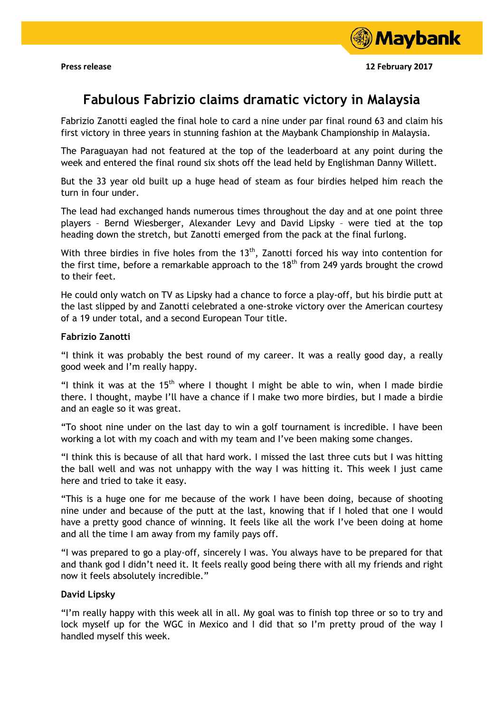

**Press release 12 February 2017** 

# **Fabulous Fabrizio claims dramatic victory in Malaysia**

Fabrizio Zanotti eagled the final hole to card a nine under par final round 63 and claim his first victory in three years in stunning fashion at the Maybank Championship in Malaysia.

The Paraguayan had not featured at the top of the leaderboard at any point during the week and entered the final round six shots off the lead held by Englishman Danny Willett.

But the 33 year old built up a huge head of steam as four birdies helped him reach the turn in four under.

The lead had exchanged hands numerous times throughout the day and at one point three players – Bernd Wiesberger, Alexander Levy and David Lipsky – were tied at the top heading down the stretch, but Zanotti emerged from the pack at the final furlong.

With three birdies in five holes from the  $13<sup>th</sup>$ , Zanotti forced his way into contention for the first time, before a remarkable approach to the  $18<sup>th</sup>$  from 249 vards brought the crowd to their feet.

He could only watch on TV as Lipsky had a chance to force a play-off, but his birdie putt at the last slipped by and Zanotti celebrated a one-stroke victory over the American courtesy of a 19 under total, and a second European Tour title.

### **Fabrizio Zanotti**

"I think it was probably the best round of my career. It was a really good day, a really good week and I'm really happy.

"I think it was at the 15<sup>th</sup> where I thought I might be able to win, when I made birdie there. I thought, maybe I'll have a chance if I make two more birdies, but I made a birdie and an eagle so it was great.

"To shoot nine under on the last day to win a golf tournament is incredible. I have been working a lot with my coach and with my team and I've been making some changes.

"I think this is because of all that hard work. I missed the last three cuts but I was hitting the ball well and was not unhappy with the way I was hitting it. This week I just came here and tried to take it easy.

"This is a huge one for me because of the work I have been doing, because of shooting nine under and because of the putt at the last, knowing that if I holed that one I would have a pretty good chance of winning. It feels like all the work I've been doing at home and all the time I am away from my family pays off.

"I was prepared to go a play-off, sincerely I was. You always have to be prepared for that and thank god I didn't need it. It feels really good being there with all my friends and right now it feels absolutely incredible."

### **David Lipsky**

"I'm really happy with this week all in all. My goal was to finish top three or so to try and lock myself up for the WGC in Mexico and I did that so I'm pretty proud of the way I handled myself this week.